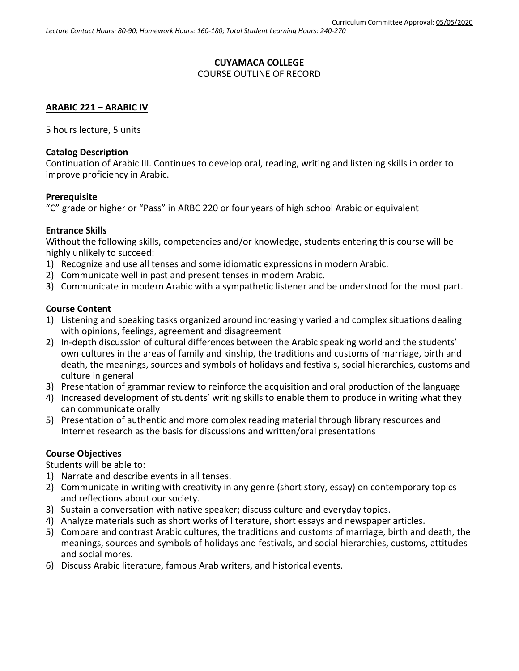### **CUYAMACA COLLEGE** COURSE OUTLINE OF RECORD

# **ARABIC 221 – ARABIC IV**

5 hours lecture, 5 units

# **Catalog Description**

Continuation of Arabic III. Continues to develop oral, reading, writing and listening skills in order to improve proficiency in Arabic.

#### **Prerequisite**

"C" grade or higher or "Pass" in ARBC 220 or four years of high school Arabic or equivalent

#### **Entrance Skills**

Without the following skills, competencies and/or knowledge, students entering this course will be highly unlikely to succeed:

- 1) Recognize and use all tenses and some idiomatic expressions in modern Arabic.
- 2) Communicate well in past and present tenses in modern Arabic.
- 3) Communicate in modern Arabic with a sympathetic listener and be understood for the most part.

#### **Course Content**

- 1) Listening and speaking tasks organized around increasingly varied and complex situations dealing with opinions, feelings, agreement and disagreement
- 2) In-depth discussion of cultural differences between the Arabic speaking world and the students' own cultures in the areas of family and kinship, the traditions and customs of marriage, birth and death, the meanings, sources and symbols of holidays and festivals, social hierarchies, customs and culture in general
- 3) Presentation of grammar review to reinforce the acquisition and oral production of the language
- 4) Increased development of students' writing skills to enable them to produce in writing what they can communicate orally
- 5) Presentation of authentic and more complex reading material through library resources and Internet research as the basis for discussions and written/oral presentations

# **Course Objectives**

Students will be able to:

- 1) Narrate and describe events in all tenses.
- 2) Communicate in writing with creativity in any genre (short story, essay) on contemporary topics and reflections about our society.
- 3) Sustain a conversation with native speaker; discuss culture and everyday topics.
- 4) Analyze materials such as short works of literature, short essays and newspaper articles.
- 5) Compare and contrast Arabic cultures, the traditions and customs of marriage, birth and death, the meanings, sources and symbols of holidays and festivals, and social hierarchies, customs, attitudes and social mores.
- 6) Discuss Arabic literature, famous Arab writers, and historical events.